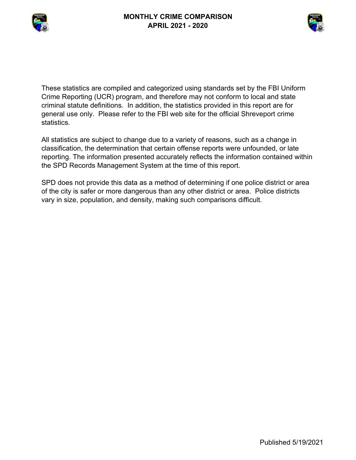



These statistics are compiled and categorized using standards set by the FBI Uniform Crime Reporting (UCR) program, and therefore may not conform to local and state criminal statute definitions. In addition, the statistics provided in this report are for general use only. Please refer to the FBI web site for the official Shreveport crime statistics.

All statistics are subject to change due to a variety of reasons, such as a change in classification, the determination that certain offense reports were unfounded, or late reporting. The information presented accurately reflects the information contained within the SPD Records Management System at the time of this report.

SPD does not provide this data as a method of determining if one police district or area of the city is safer or more dangerous than any other district or area. Police districts vary in size, population, and density, making such comparisons difficult.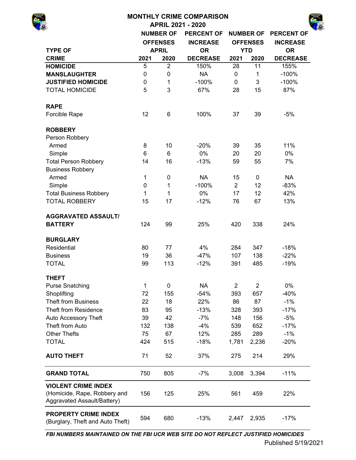|                                                                                           |                                        |                  | <b>MONTHLY CRIME COMPARISON</b> |                |                  |                   |
|-------------------------------------------------------------------------------------------|----------------------------------------|------------------|---------------------------------|----------------|------------------|-------------------|
|                                                                                           |                                        |                  | <b>APRIL 2021 - 2020</b>        |                |                  |                   |
|                                                                                           |                                        | <b>NUMBER OF</b> | <b>PERCENT OF</b>               |                | <b>NUMBER OF</b> | <b>PERCENT OF</b> |
|                                                                                           |                                        | <b>OFFENSES</b>  | <b>INCREASE</b>                 |                | <b>OFFENSES</b>  | <b>INCREASE</b>   |
| <b>TYPE OF</b>                                                                            |                                        | <b>APRIL</b>     | <b>OR</b>                       |                | <b>YTD</b>       | <b>OR</b>         |
| <b>CRIME</b>                                                                              | 2021                                   | 2020             | <b>DECREASE</b>                 | 2021           | 2020             | <b>DECREASE</b>   |
| <b>HOMICIDE</b>                                                                           | 5                                      | $\overline{2}$   | 150%                            | 28             | 11               | 155%              |
| <b>MANSLAUGHTER</b>                                                                       | 0                                      | 0                | <b>NA</b>                       | $\mathbf 0$    | 1                | $-100%$           |
| <b>JUSTIFIED HOMICIDE</b>                                                                 | 0                                      | 1                | $-100%$                         | $\mathbf 0$    | 3                | $-100%$           |
| <b>TOTAL HOMICIDE</b>                                                                     | 5                                      | 3                | 67%                             | 28             | 15               | 87%               |
| <b>RAPE</b>                                                                               |                                        |                  |                                 |                |                  |                   |
| Forcible Rape                                                                             | 12                                     | $6\phantom{1}6$  | 100%                            | 37             | 39               | $-5%$             |
| <b>ROBBERY</b>                                                                            |                                        |                  |                                 |                |                  |                   |
| Person Robbery                                                                            |                                        |                  |                                 |                |                  |                   |
| Armed                                                                                     | 8                                      | 10               | $-20%$                          | 39             | 35               | 11%               |
| Simple                                                                                    | 6                                      | 6                | 0%                              | 20             | 20               | 0%                |
| <b>Total Person Robbery</b>                                                               | 16<br>14<br>1<br>$\mathbf 0$<br>0<br>1 |                  | $-13%$                          | 59             | 55               | 7%                |
| <b>Business Robbery</b>                                                                   |                                        |                  |                                 |                |                  |                   |
| Armed                                                                                     |                                        |                  | <b>NA</b>                       | 15             | $\mathbf 0$      | <b>NA</b>         |
| Simple                                                                                    |                                        |                  | $-100%$                         | $\overline{2}$ | 12               | $-83%$            |
| <b>Total Business Robbery</b>                                                             | 1                                      | 1                | 0%                              | 17             | 12               | 42%               |
| <b>TOTAL ROBBERY</b>                                                                      | 15                                     | 17               | $-12%$                          | 76             | 67               | 13%               |
| <b>AGGRAVATED ASSAULT/</b>                                                                |                                        |                  |                                 |                |                  |                   |
| <b>BATTERY</b>                                                                            | 124                                    | 99               | 25%                             | 420            | 338              | 24%               |
| <b>BURGLARY</b>                                                                           |                                        |                  |                                 |                |                  |                   |
| Residential                                                                               | 80                                     | 77               | 4%                              | 284            | 347              | $-18%$            |
| <b>Business</b>                                                                           | 19                                     | 36               | $-47%$                          | 107            | 138              | $-22%$            |
| <b>TOTAL</b>                                                                              | 99                                     | 113              | $-12%$                          | 391            | 485              | $-19%$            |
| <b>THEFT</b>                                                                              |                                        |                  |                                 |                |                  |                   |
| <b>Purse Snatching</b>                                                                    | 1                                      | 0                | <b>NA</b>                       | $\overline{2}$ | $\overline{2}$   | 0%                |
| Shoplifting                                                                               | 72                                     | 155              | $-54%$                          | 393            | 657              | $-40%$            |
| <b>Theft from Business</b>                                                                | 22                                     | 18               | 22%                             | 86             | 87               | $-1%$             |
| <b>Theft from Residence</b>                                                               | 83                                     | 95               | $-13%$                          | 328            | 393              | $-17%$            |
| Auto Accessory Theft                                                                      | 39                                     | 42               | $-7%$                           | 148            | 156              | $-5%$             |
| Theft from Auto                                                                           | 132                                    | 138              | $-4%$                           | 539            | 652              | $-17%$            |
| <b>Other Thefts</b>                                                                       | 75                                     | 67               | 12%                             | 285            | 289              | $-1%$             |
| <b>TOTAL</b>                                                                              | 424                                    | 515              | $-18%$                          | 1,781          | 2,236            | $-20%$            |
| <b>AUTO THEFT</b>                                                                         | 71                                     | 52               | 37%                             | 275            | 214              | 29%               |
| <b>GRAND TOTAL</b>                                                                        | 750                                    | 805              | $-7%$                           | 3,008          | 3,394            | $-11%$            |
| <b>VIOLENT CRIME INDEX</b><br>(Homicide, Rape, Robbery and<br>Aggravated Assault/Battery) | 156                                    | 125              | 25%                             | 561            | 459              | 22%               |
| <b>PROPERTY CRIME INDEX</b>                                                               | EOM                                    | con              | 100/                            |                | אמה ח            | 170/              |

*FBI NUMBERS MAINTAINED ON THE FBI UCR WEB SITE DO NOT REFLECT JUSTIFIED HOMICIDES*

(Burglary, Theft and Auto Theft)

594 680 -13% 2,447 2,935 -17%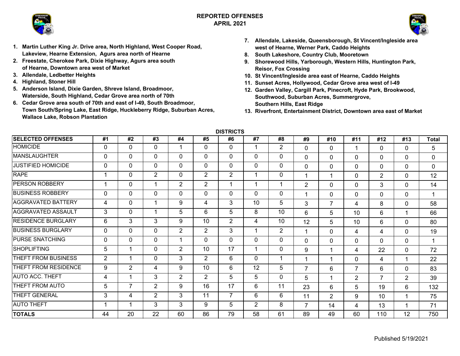



- **1. Martin Luther King Jr. Drive area, North Highland, West Cooper Road, Lakeview, Hearne Extension, Agurs area north of Hearne**
- **2. Freestate, Cherokee Park, Dixie Highway, Agurs area south of Hearne, Downtown area west of Market**
- **3. Allendale, Ledbetter Heights**
- **4. Highland, Stoner Hill**
- **5. Anderson Island, Dixie Garden, Shreve Island, Broadmoor, Waterside, South Highland, Cedar Grove area north of 70th**
- **6. Cedar Grove area south of 70th and east of I-49, South Broadmoor, Town South/Spring Lake, East Ridge, Huckleberry Ridge, Suburban Acres, Wallace Lake, Robson Plantation**
- **7. Allendale, Lakeside, Queensborough, St Vincent/Ingleside area west of Hearne, Werner Park, Caddo Heights**
- **8. South Lakeshore, Country Club, Mooretown**
- **9. Shorewood Hills, Yarborough, Western Hills, Huntington Park, Reisor, Fox Crossing**
- **10. St Vincent/Ingleside area east of Hearne, Caddo Heights**
- **11. Sunset Acres, Hollywood, Cedar Grove area west of I-49**
- **12. Garden Valley, Cargill Park, Pinecroft, Hyde Park, Brookwood, Southwood, Suburban Acres, Summergrove, Southern Hills, East Ridge**
- **13. Riverfront, Entertainment District, Downtown area east of Market**

**DISTRICTS**

| <b>SELECTED OFFENSES</b>  | #1          | #2             | #3             | #4             | #5           | #6             | #7             | #8             | #9             | #10            | #11            | #12            | #13            | <b>Total</b> |
|---------------------------|-------------|----------------|----------------|----------------|--------------|----------------|----------------|----------------|----------------|----------------|----------------|----------------|----------------|--------------|
| <b>HOMICIDE</b>           | 0           | $\mathbf{0}$   | $\mathbf{0}$   |                | $\mathbf{0}$ | 0              |                | $\overline{2}$ | $\mathbf{0}$   | $\Omega$       | 1              | $\mathbf{0}$   | $\mathbf{0}$   | 5            |
| <b>MANSLAUGHTER</b>       | 0           | 0              | $\mathbf{0}$   | $\Omega$       | $\mathbf{0}$ | $\mathbf{0}$   | 0              | 0              | $\mathbf 0$    | $\Omega$       | $\Omega$       | $\Omega$       | $\mathbf 0$    | 0            |
| <b>JUSTIFIED HOMICIDE</b> | $\Omega$    | 0              | 0              | $\Omega$       | $\mathbf{0}$ | $\mathbf{0}$   | 0              | 0              | $\mathbf 0$    | $\Omega$       | $\Omega$       | $\mathbf 0$    | $\mathbf{0}$   | $\mathbf 0$  |
| <b>RAPE</b>               |             | 0              | $\overline{2}$ | 0              | 2            | $\overline{2}$ |                | 0              |                | 1              | $\Omega$       | $\overline{2}$ | $\mathbf{0}$   | 12           |
| PERSON ROBBERY            |             | 0              | 1              | $\overline{2}$ | 2            | 1              | 1              | 1              | $\overline{2}$ | $\Omega$       | $\Omega$       | 3              | $\mathbf{0}$   | 14           |
| <b>BUSINESS ROBBERY</b>   | $\mathbf 0$ | 0              | 0              | 0              | $\Omega$     | $\Omega$       | $\mathbf{0}$   | 0              |                | $\Omega$       | $\Omega$       | $\Omega$       | $\Omega$       | 1            |
| <b>AGGRAVATED BATTERY</b> | 4           | 0              | 1              | 9              | 4            | 3              | 10             | 5              | 3              | $\overline{7}$ | 4              | 8              | $\Omega$       | 58           |
| <b>AGGRAVATED ASSAULT</b> | 3           | 0              | 1              | 5              | 6            | 5              | 8              | 10             | 6              | 5              | 10             | 6              |                | 66           |
| <b>RESIDENCE BURGLARY</b> | 6           | 3              | 3              | 9              | 10           | $\overline{2}$ | 4              | 10             | 12             | 5              | 10             | 6              | $\Omega$       | 80           |
| <b>BUSINESS BURGLARY</b>  | 0           | 0              | 0              | $\overline{2}$ | 2            | 3              |                | $\overline{2}$ |                | $\Omega$       | 4              | $\overline{4}$ | $\mathbf 0$    | 19           |
| <b>PURSE SNATCHING</b>    | 0           | $\mathbf 0$    | $\mathbf 0$    |                | $\Omega$     | $\Omega$       | $\Omega$       | 0              | $\mathbf{0}$   | $\mathbf{0}$   | $\Omega$       | $\mathbf{0}$   | $\mathbf{0}$   | 1            |
| <b>SHOPLIFTING</b>        | 5           | $\overline{ }$ | $\mathbf 0$    | $\overline{2}$ | 10           | 17             |                | 0              | 9              | 1              | 4              | 22             | $\mathbf{0}$   | 72           |
| THEFT FROM BUSINESS       | 2           | 1              | $\mathbf 0$    | 3              | 2            | 6              | $\Omega$       |                | 1              | 1              | 0              | 4              |                | 22           |
| THEFT FROM RESIDENCE      | 9           | $\overline{2}$ | 4              | 9              | 10           | 6              | 12             | 5              | $\overline{7}$ | 6              | 7              | 6              | $\mathbf{0}$   | 83           |
| <b>AUTO ACC. THEFT</b>    | 4           | 1              | 3              | $\overline{2}$ | 2            | 5              | 5              | 0              | 5              | 1              | $\overline{2}$ | $\overline{7}$ | $\overline{2}$ | 39           |
| THEFT FROM AUTO           | 5           | 7              | 2              | 9              | 16           | 17             | 6              | 11             | 23             | 6              | 5              | 19             | 6              | 132          |
| THEFT GENERAL             | 3           | 4              | $\overline{2}$ | 3              | 11           | $\overline{7}$ | 6              | 6              | 11             | $\overline{2}$ | 9              | 10             |                | 75           |
| <b>AUTO THEFT</b>         |             | 1              | 3              | 3              | 9            | 5              | $\overline{2}$ | 8              | $\overline{7}$ | 14             | 4              | 13             |                | 71           |
| <b>TOTALS</b>             | 44          | 20             | 22             | 60             | 86           | 79             | 58             | 61             | 89             | 49             | 60             | 110            | 12             | 750          |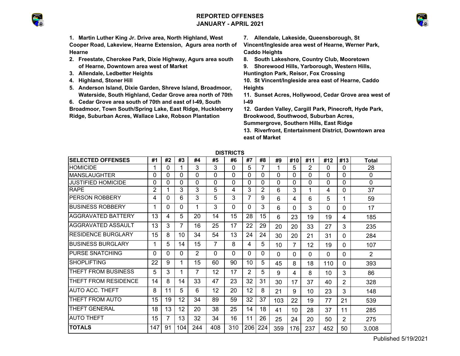# **REPORTED OFFENSESJANUARY - APRIL 2021**





**1. Martin Luther King Jr. Drive area, North Highland, West Cooper Road, Lakeview, Hearne Extension, Agurs area north of Hearne**

- **2. Freestate, Cherokee Park, Dixie Highway, Agurs area south of Hearne, Downtown area west of Market**
- **3. Allendale, Ledbetter Heights**
- **4. Highland, Stoner Hill**
- **5. Anderson Island, Dixie Garden, Shreve Island, Broadmoor, Waterside, South Highland, Cedar Grove area north of 70th**
- **6. Cedar Grove area south of 70th and east of I-49, South**

**Broadmoor, Town South/Spring Lake, East Ridge, Huckleberry Ridge, Suburban Acres, Wallace Lake, Robson Plantation** 

**7. Allendale, Lakeside, Queensborough, St** 

**Vincent/Ingleside area west of Hearne, Werner Park, Caddo Heights**

**8. South Lakeshore, Country Club, Mooretown**

**9. Shorewood Hills, Yarborough, Western Hills,** 

**Huntington Park, Reisor, Fox Crossing**

- **10. St Vincent/Ingleside area east of Hearne, Caddo Heights**
- **11. Sunset Acres, Hollywood, Cedar Grove area west of I-49**
- **12. Garden Valley, Cargill Park, Pinecroft, Hyde Park, Brookwood, Southwood, Suburban Acres, Summergrove, Southern Hills, East Ridge**

**13. Riverfront, Entertainment District, Downtown area east of Market**

| шэткістэ                   |                |    |     |                |     |     |                |                |          |                |          |     |                |       |
|----------------------------|----------------|----|-----|----------------|-----|-----|----------------|----------------|----------|----------------|----------|-----|----------------|-------|
| <b>SELECTED OFFENSES</b>   | #1             | #2 | #3  | #4             | #5  | #6  | #7             | #8             | #9       | #10            | #11      | #12 | #13            | Total |
| <b>HOMICIDE</b>            | 1              | 0  |     | 3              | 3   | 0   | 5              | 7              |          | 5              | 2        | 0   | 0              | 28    |
| <b>MANSLAUGHTER</b>        | 0              | 0  | 0   | $\Omega$       | 0   | 0   | 0              | $\Omega$       | $\Omega$ | 0              | 0        | 0   | $\Omega$       | 0     |
| JUSTIFIED HOMICIDE         | 0              | 0  | 0   | $\Omega$       | 0   | 0   | 0              | 0              | 0        | 0              | $\Omega$ | 0   | $\Omega$       | 0     |
| <b>RAPE</b>                | $\overline{2}$ |    | 3   | 3              | 5   | 4   | 3              | $\overline{2}$ | 6        | 3              | 1        | 4   | $\Omega$       | 37    |
| PERSON ROBBERY             | 4              | 0  | 6   | 3              | 5   | 3   | $\overline{7}$ | 9              | 6        | 4              | 6        | 5   | 1              | 59    |
| <b>BUSINESS ROBBERY</b>    | 1              | 0  | 0   | 1              | 3   | 0   | $\Omega$       | 3              | 6        | 0              | 3        | 0   | $\Omega$       | 17    |
| <b>AGGRAVATED BATTERY</b>  | 13             | 4  | 5   | 20             | 14  | 15  | 28             | 15             | 6        | 23             | 19       | 19  | 4              | 185   |
| AGGRAVATED ASSAULT         | 13             | 3  | 7   | 16             | 25  | 17  | 22             | 29             | 20       | 20             | 33       | 27  | 3              | 235   |
| <b>RESIDENCE BURGLARY</b>  | 15             | 8  | 10  | 34             | 54  | 13  | 24             | 24             | 30       | 20             | 21       | 31  | 0              | 284   |
| <b>BUSINESS BURGLARY</b>   | 1              | 5  | 14  | 15             | 7   | 8   | 4              | 5              | 10       | $\overline{7}$ | 12       | 19  | 0              | 107   |
| PURSE SNATCHING            | 0              | 0  | 0   | $\overline{2}$ | 0   | 0   | 0              | 0              | $\Omega$ | $\Omega$       | $\Omega$ | 0   | 0              | 2     |
| <b>SHOPLIFTING</b>         | 22             | 9  | 1   | 15             | 60  | 90  | 10             | 5              | 45       | 8              | 18       | 110 | $\Omega$       | 393   |
| <b>THEFT FROM BUSINESS</b> | 5              | 3  | 1   | 7              | 12  | 17  | 2              | 5              | 9        | 4              | 8        | 10  | 3              | 86    |
| THEFT FROM RESIDENCE       | 14             | 8  | 14  | 33             | 47  | 23  | 32             | 31             | 30       | 17             | 37       | 40  | $\overline{2}$ | 328   |
| <b>AUTO ACC. THEFT</b>     | 8              | 11 | 5   | 6              | 12  | 20  | 12             | 8              | 21       | 9              | 10       | 23  | 3              | 148   |
| THEFT FROM AUTO            | 15             | 19 | 12  | 34             | 89  | 59  | 32             | 37             | 103      | 22             | 19       | 77  | 21             | 539   |
| <b>THEFT GENERAL</b>       | 18             | 13 | 12  | 20             | 38  | 25  | 14             | 18             | 41       | 10             | 28       | 37  | 11             | 285   |
| <b>AUTO THEFT</b>          | 15             | 7  | 13  | 32             | 34  | 16  | 11             | 26             | 25       | 24             | 20       | 50  | 2              | 275   |
| <b>TOTALS</b>              | 147            | 91 | 104 | 244            | 408 | 310 | 206            | 224            | 359      | 176            | 237      | 452 | 50             | 3,008 |

**DISTRICTS**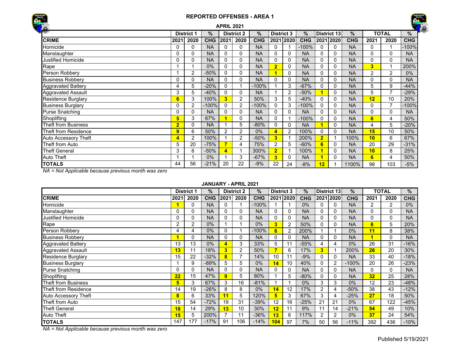



|                             |                |                   |               | <b>APRIL 2021</b>       |                   |            |                         |           |               |                |                    |               |                |                | $\overline{\phantom{a}}$ |
|-----------------------------|----------------|-------------------|---------------|-------------------------|-------------------|------------|-------------------------|-----------|---------------|----------------|--------------------|---------------|----------------|----------------|--------------------------|
|                             |                | <b>District 1</b> | $\frac{9}{6}$ |                         | <b>District 2</b> | $\%$       | <b>District 3</b>       |           | $\frac{9}{6}$ |                | <b>District 13</b> | $\frac{9}{6}$ |                | <b>TOTAL</b>   | $\%$                     |
| <b>CRIME</b>                | 2021           | 2020              | <b>CHG</b>    | 2021                    | 2020              | <b>CHG</b> |                         | 2021 2020 | <b>CHG</b>    |                | 2021 2020          | <b>CHG</b>    | 2021           | 2020           | <b>CHG</b>               |
| Homicide                    | 0              | $\Omega$          | <b>NA</b>     | 0                       | 0                 | <b>NA</b>  | $\mathbf{0}$            |           | $-100%$       | $\Omega$       | $\Omega$           | <b>NA</b>     | 0              |                | -100%                    |
| Manslaughter                | 0              | 0                 | <b>NA</b>     | 0                       | 0                 | <b>NA</b>  | $\mathbf{0}$            | 0         | <b>NA</b>     | 0              | 0                  | <b>NA</b>     | 0              | 0              | <b>NA</b>                |
| <b>Justified Homicide</b>   | 0              | $\Omega$          | <b>NA</b>     | $\mathbf 0$             | $\Omega$          | <b>NA</b>  | $\Omega$                | 0         | <b>NA</b>     | $\Omega$       | $\Omega$           | <b>NA</b>     | $\Omega$       | 0              | <b>NA</b>                |
| Rape                        |                |                   | 0%            | $\Omega$                | 0                 | <b>NA</b>  | $\overline{\mathbf{2}}$ | 0         | <b>NA</b>     | 0              | $\Omega$           | <b>NA</b>     | $\overline{3}$ |                | 200%                     |
| Person Robbery              |                | 2                 | $-50%$        | 0                       | 0                 | <b>NA</b>  |                         | 0         | <b>NA</b>     | 0              | $\Omega$           | <b>NA</b>     | $\overline{2}$ | 2              | 0%                       |
| <b>Business Robbery</b>     | 0              | $\Omega$          | <b>NA</b>     | $\Omega$                | $\Omega$          | <b>NA</b>  | $\Omega$                | 0         | <b>NA</b>     | $\Omega$       | $\Omega$           | <b>NA</b>     | $\Omega$       | $\Omega$       | <b>NA</b>                |
| <b>Aggravated Battery</b>   | 4              | 5                 | $-20%$        | $\Omega$                |                   | $-100%$    |                         | 3         | $-67%$        | 0              | 0                  | <b>NA</b>     | 5              | 9              | -44%                     |
| <b>Aggravated Assault</b>   | 3              | 5                 | $-40%$        | $\mathbf{0}$            | $\Omega$          | <b>NA</b>  |                         | 2         | $-50%$        |                | $\Omega$           | <b>NA</b>     | 5              | $\overline{ }$ | $-29%$                   |
| <b>Residence Burglary</b>   | 6              | 3                 | 100%          | 3                       | 2                 | 50%        | 3                       | 5         | $-40%$        | $\Omega$       | $\Omega$           | <b>NA</b>     | 12             | 10             | 20%                      |
| <b>Business Burglary</b>    | 0              | $\overline{2}$    | $-100%$       | 0                       | 2                 | $-100%$    | $\Omega$                | 3         | $-100%$       | 0              | 0                  | <b>NA</b>     | 0              | 7              | $-100%$                  |
| <b>Purse Snatching</b>      | 0              | 0                 | <b>NA</b>     | $\mathbf 0$             | $\Omega$          | <b>NA</b>  | $\Omega$                | $\Omega$  | <b>NA</b>     | $\Omega$       | $\Omega$           | <b>NA</b>     | $\Omega$       | $\Omega$       | <b>NA</b>                |
| Shoplifting                 | 5              | 3                 | 67%           |                         | $\Omega$          | <b>NA</b>  | $\Omega$                |           | $-100%$       | $\Omega$       | $\Omega$           | <b>NA</b>     | 6              | 4              | 50%                      |
| Theft from Business         | $\overline{2}$ | 0                 | <b>NA</b>     |                         | 5                 | $-80%$     | $\Omega$                | 0         | <b>NA</b>     |                | $\Omega$           | <b>NA</b>     | 4              | 5              | -20%                     |
| Theft from Residence        | 9              | 6                 | 50%           | 2                       | 2                 | 0%         | 4                       | 2         | 100%          | $\Omega$       | $\Omega$           | <b>NA</b>     | 15             | 10             | 50%                      |
| <b>Auto Accessory Theft</b> | 4              | $\overline{2}$    | 100%          |                         | 2                 | $-50%$     | 3                       |           | 200%          | $\overline{2}$ |                    | 100%          | 10             | 6              | 67%                      |
| Theft from Auto             | 5              | 20                | $-75%$        | 7                       | 4                 | 75%        | $\overline{2}$          | 5         | $-60%$        | 6              | 0                  | <b>NA</b>     | 20             | 29             | $-31%$                   |
| Theft General               | 3              | 6                 | $-50%$        | $\overline{\mathbf{4}}$ |                   | 300%       | $\overline{\mathbf{2}}$ |           | 100%          |                | $\Omega$           | <b>NA</b>     | 10             | 8              | 25%                      |
| <b>Auto Theft</b>           |                |                   | 0%            |                         | 3                 | $-67%$     | 3                       | 0         | <b>NA</b>     |                | $\Omega$           | <b>NA</b>     | 6              | 4              | 50%                      |
| <b>TOTALS</b>               | 44             | 56                | $-21%$        | 20                      | 22                | $-9%$      | 22                      | 24        | $-8%$         | 12             |                    | 1100%         | 98             | 103            | $-5%$                    |

*NA = Not Applicable because previous month was zero*

#### **JANUARY - APRIL 2021**

|                           |      | <b>District 1</b> | %          |      | <b>District 2</b> | %          | <b>District 3</b> |                | $\%$       |                | District 13 | $\frac{9}{6}$ |      | <b>TOTAL</b> | %          |
|---------------------------|------|-------------------|------------|------|-------------------|------------|-------------------|----------------|------------|----------------|-------------|---------------|------|--------------|------------|
| <b>CRIME</b>              | 2021 | 2020              | <b>CHG</b> | 2021 | 2020              | <b>CHG</b> |                   | 2021 2020      | <b>CHG</b> |                | 2021 2020   | <b>CHG</b>    | 2021 | 2020         | <b>CHG</b> |
| Homicide                  |      | 0                 | <b>NA</b>  | 0    |                   | $-100%$    |                   |                | 0%         | 0              | 0           | <b>NA</b>     | 2    | 2            | 0%         |
| Manslaughter              | 0    | 0                 | <b>NA</b>  | 0    | 0                 | NA         | 0                 | 0              | <b>NA</b>  | 0              | 0           | <b>NA</b>     | 0    | 0            | <b>NA</b>  |
| Justified Homicide        | 0    | 0                 | <b>NA</b>  | 0    | 0                 | <b>NA</b>  | 0                 | 0              | <b>NA</b>  | 0              | 0           | <b>NA</b>     | 0    | $\Omega$     | <b>NA</b>  |
| Rape                      | 2    | 2                 | $0\%$      |      |                   | $0\%$      | 3                 | $\overline{2}$ | 50%        | 0              | 0           | <b>NA</b>     | 6    | 5            | 20%        |
| Person Robbery            | 4    | 4                 | $0\%$      | 0    |                   | -100%      | 6                 | 2              | 200%       |                |             | 0%            | 11   | 8            | 38%        |
| <b>Business Robbery</b>   |      | 0                 | <b>NA</b>  | 0    | 0                 | <b>NA</b>  | 0                 | 0              | <b>NA</b>  | 0              | 0           | <b>NA</b>     | и    | $\Omega$     | <b>NA</b>  |
| <b>Aggravated Battery</b> | 13   | 13                | $0\%$      | 4    | 3                 | 33%        | 5                 |                | $-55%$     | 4              | 4           | $0\%$         | 26   | 31           | $-16%$     |
| <b>Aggravated Assault</b> | 13   | 11                | 18%        | 3    | 2                 | 50%        |                   | 6              | 17%        | 3              |             | 200%          | 26   | 20           | 30%        |
| <b>Residence Burglary</b> | 15   | 22                | $-32%$     | 8    | ⇁                 | 14%        | 10                |                | $-9%$      | 0              | 0           | <b>NA</b>     | 33   | 40           | $-18%$     |
| <b>Business Burglary</b>  |      | 9                 | $-89%$     | 5    | 5                 | $0\%$      | 14                | 10             | 40%        | 0              | 2           | $-100%$       | 20   | 26           | $-23%$     |
| <b>Purse Snatching</b>    | 0    | 0                 | <b>NA</b>  | 0    | 0                 | <b>NA</b>  | 0                 | 0              | <b>NA</b>  | $\Omega$       | 0           | <b>NA</b>     | 0    | $\Omega$     | <b>NA</b>  |
| Shoplifting               | 22   | 15                | 47%        | 9    | 5                 | 80%        |                   | 5              | $-80%$     | 0              | 0           | <b>NA</b>     | 32   | 25           | 28%        |
| Theft from Business       | 5    | 3                 | 67%        | 3    | 16                | $-81%$     |                   |                | $0\%$      | 3              | 3           | 0%            | 12   | 23           | $-48%$     |
| Theft from Residence      | 14   | 19                | $-26%$     | 8    | 8                 | $0\%$      | 14                | 12             | 17%        | $\overline{2}$ | 4           | $-50%$        | 38   | 43           | $-12%$     |
| Auto Accessory Theft      | 8    | 6                 | 33%        | 11   | 5                 | 120%       | 5                 | 3              | 67%        | 3              | 4           | $-25%$        | 27   | 18           | 50%        |
| Theft from Auto           | 15   | 54                | $-72%$     | 19   | 31                | $-39%$     | 12                | 16             | $-25%$     | 21             | 21          | $0\%$         | 67   | 122          | -45%       |
| <b>Theft General</b>      | 18   | 14                | 29%        | 13   | 10                | 30%        | 12                |                | 9%         | 11             | 14          | $-21%$        | 54   | 49           | 10%        |
| <b>Auto Theft</b>         | 15   | 5                 | 200%       |      | 11                | $-36%$     | 13                | 6              | 117%       | 2              | 2           | 0%            | 37   | 24           | 54%        |
| <b>TOTALS</b>             | 147  | 177               | $-17%$     | 91   | 106               | $-14%$     | 104               | 97             | 7%         | 50             | 56          | $-11%$        | 392  | 436          | $-10%$     |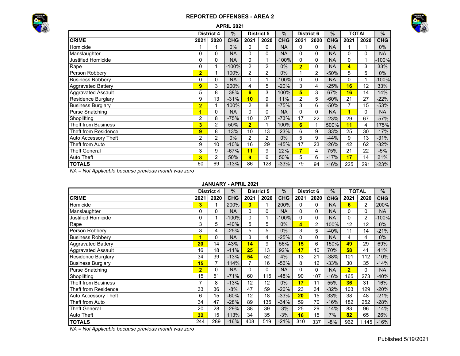



|                             |                         |                   | <b>APRIL 2021</b> |                |                   |               |                |                   |               |                         |              |            |
|-----------------------------|-------------------------|-------------------|-------------------|----------------|-------------------|---------------|----------------|-------------------|---------------|-------------------------|--------------|------------|
|                             |                         | <b>District 4</b> | $\%$              |                | <b>District 5</b> | $\frac{0}{0}$ |                | <b>District 6</b> | $\frac{0}{0}$ |                         | <b>TOTAL</b> | %          |
| <b>CRIME</b>                | 2021                    | 2020              | <b>CHG</b>        | 2021           | 2020              | <b>CHG</b>    | 2021           | 2020              | <b>CHG</b>    | 2021                    | 2020         | <b>CHG</b> |
| Homicide                    |                         | 1                 | 0%                | 0              | 0                 | <b>NA</b>     | 0              | 0                 | <b>NA</b>     |                         | 1            | $0\%$      |
| Manslaughter                | $\Omega$                | $\mathbf{0}$      | <b>NA</b>         | 0              | 0                 | <b>NA</b>     | 0              | 0                 | <b>NA</b>     | 0                       | 0            | <b>NA</b>  |
| Justified Homicide          | 0                       | 0                 | <b>NA</b>         | 0              | 1                 | $-100%$       | 0              | 0                 | <b>NA</b>     | 0                       |              | $-100%$    |
| Rape                        | 0                       | 1                 | $-100%$           | 2              | 2                 | $0\%$         | $\overline{2}$ | 0                 | <b>NA</b>     | $\overline{\mathbf{4}}$ | 3            | 33%        |
| Person Robbery              | $\overline{2}$          | 1                 | 100%              | 2              | 2                 | $0\%$         |                | 2                 | $-50%$        | 5                       | 5            | $0\%$      |
| <b>Business Robbery</b>     | 0                       | 0                 | <b>NA</b>         | 0              | 1                 | $-100%$       | 0              | 0                 | <b>NA</b>     | 0                       |              | $-100%$    |
| <b>Aggravated Battery</b>   | 9                       | 3                 | 200%              | 4              | 5                 | $-20%$        | 3              | 4                 | $-25%$        | 16                      | 12           | 33%        |
| <b>Aggravated Assault</b>   | 5                       | 8                 | $-38%$            | 6              | 3                 | 100%          | 5              | 3                 | 67%           | 16                      | 14           | 14%        |
| Residence Burglary          | 9                       | 13                | $-31%$            | 10             | 9                 | 11%           | $\overline{2}$ | 5                 | $-60%$        | 21                      | 27           | $-22%$     |
| <b>Business Burglary</b>    | $\overline{2}$          | 1                 | 100%              | 2              | 8                 | $-75%$        | 3              | 6                 | $-50%$        | 7                       | 15           | $-53%$     |
| <b>Purse Snatching</b>      | 1                       | $\Omega$          | <b>NA</b>         | $\Omega$       | 0                 | <b>NA</b>     | 0              | 0                 | <b>NA</b>     | $\overline{\mathbf{1}}$ | $\Omega$     | <b>NA</b>  |
| Shoplifting                 | $\overline{2}$          | 8                 | $-75%$            | 10             | 37                | $-73%$        | 17             | 22                | $-23%$        | 29                      | 67           | $-57%$     |
| <b>Theft from Business</b>  | 3                       | 2                 | 50%               | $\overline{2}$ | 1                 | 100%          | 6              |                   | 500%          | 11                      | 4            | 175%       |
| <b>Theft from Residence</b> | 9                       | 8                 | 13%               | 10             | 13                | $-23%$        | 6              | 9                 | $-33%$        | 25                      | 30           | $-17%$     |
| Auto Accessory Theft        | $\overline{2}$          | 2                 | 0%                | 2              | 2                 | $0\%$         | 5              | 9                 | $-44%$        | 9                       | 13           | $-31%$     |
| Theft from Auto             | 9                       | 10                | $-10%$            | 16             | 29                | $-45%$        | 17             | 23                | $-26%$        | 42                      | 62           | $-32%$     |
| <b>Theft General</b>        | 3                       | 9                 | $-67%$            | 11             | 9                 | 22%           | $\overline{7}$ | 4                 | 75%           | 21                      | 22           | $-5%$      |
| <b>Auto Theft</b>           | $\overline{\mathbf{3}}$ | 2                 | 50%               | 9              | 6                 | 50%           | 5              | 6                 | $-17%$        | 17                      | 14           | 21%        |
| <b>TOTALS</b>               | 60                      | 69                | $-13%$            | 86             | 128               | $-33%$        | 79             | 94                | $-16%$        | 225                     | 291          | $-23%$     |

*NA = Not Applicable because previous month was zero*

### **JANUARY - APRIL 2021**

|                             |                         | <b>District 4</b> | $\frac{9}{6}$ |                         | <b>District 5</b> | $\frac{9}{6}$ | <b>District 6</b> |          | $\%$       |                | <b>TOTAL</b>   | %          |
|-----------------------------|-------------------------|-------------------|---------------|-------------------------|-------------------|---------------|-------------------|----------|------------|----------------|----------------|------------|
| <b>CRIME</b>                | 2021                    | 2020              | <b>CHG</b>    | 2021                    | 2020              | <b>CHG</b>    | 2021              | 2020     | <b>CHG</b> | 2021           | 2020           | <b>CHG</b> |
| Homicide                    | 3                       | 1                 | 200%          | $\overline{\mathbf{3}}$ |                   | 200%          | 0                 | 0        | <b>NA</b>  | 6              | $\overline{2}$ | 200%       |
| Manslaughter                | 0                       | $\Omega$          | <b>NA</b>     | $\Omega$                | 0                 | <b>NA</b>     | 0                 | $\Omega$ | <b>NA</b>  | 0              | 0              | <b>NA</b>  |
| Justified Homicide          | 0                       | 1                 | $-100%$       | $\Omega$                |                   | $-100%$       | $\Omega$          | 0        | <b>NA</b>  | 0              | $\overline{2}$ | $-100%$    |
| Rape                        | 3                       | 5                 | $-40%$        | 5                       | 5                 | $0\%$         | 4                 | 2        | 100%       | 12             | 12             | $0\%$      |
| Person Robbery              | 3                       | 4                 | $-25%$        | 5                       | 5                 | $0\%$         | 3                 | 5        | $-40%$     | 11             | 14             | $-21%$     |
| <b>Business Robbery</b>     | 1                       | 0                 | <b>NA</b>     | 3                       | 4                 | $-25%$        | $\Omega$          | $\Omega$ | <b>NA</b>  | 4              | 4              | $0\%$      |
| <b>Aggravated Battery</b>   | 20                      | 14                | 43%           | 14                      | 9                 | 56%           | 15                | 6        | 150%       | 49             | 29             | 69%        |
| <b>Aggravated Assault</b>   | 16                      | 18                | $-11%$        | 25                      | 13                | 92%           | 17                | 10       | 70%        | 58             | 41             | 41%        |
| <b>Residence Burglary</b>   | 34                      | 39                | $-13%$        | 54                      | 52                | 4%            | 13                | 21       | $-38%$     | 101            | 112            | $-10%$     |
| <b>Business Burglary</b>    | 15                      | 7                 | 114%          | 7                       | 16                | -56%          | 8                 | 12       | $-33%$     | 30             | 35             | $-14%$     |
| <b>Purse Snatching</b>      | $\overline{\mathbf{2}}$ | 0                 | <b>NA</b>     | 0                       | 0                 | <b>NA</b>     | $\Omega$          | $\Omega$ | <b>NA</b>  | $\overline{2}$ | $\Omega$       | <b>NA</b>  |
| Shoplifting                 | 15                      | 51                | $-71%$        | 60                      | 115               | $-48%$        | 90                | 107      | $-16%$     | 165            | 273            | $-40%$     |
| <b>Theft from Business</b>  | 7                       | 8                 | $-13%$        | 12                      | 12                | $0\%$         | 17                | 11       | 55%        | 36             | 31             | 16%        |
| <b>Theft from Residence</b> | 33                      | 36                | $-8%$         | 47                      | 59                | $-20%$        | 23                | 34       | $-32%$     | 103            | 129            | $-20%$     |
| Auto Accessory Theft        | 6                       | 15                | $-60%$        | 12                      | 18                | $-33%$        | 20                | 15       | 33%        | 38             | 48             | $-21%$     |
| Theft from Auto             | 34                      | 47                | $-28%$        | 89                      | 135               | $-34%$        | 59                | 70       | $-16%$     | 182            | 252            | $-28%$     |
| <b>Theft General</b>        | 20                      | 28                | $-29%$        | 38                      | 39                | $-3%$         | 25                | 29       | $-14%$     | 83             | 96             | $-14%$     |
| <b>Auto Theft</b>           | 32                      | 15                | 113%          | 34                      | 35                | $-3%$         | 16                | 15       | 7%         | 82             | 65             | 26%        |
| <b>TOTALS</b>               | 244                     | 289               | $-16%$        | 408                     | 519               | $-21%$        | 310               | 337      | $-8%$      | 962            | 1,145          | $-16%$     |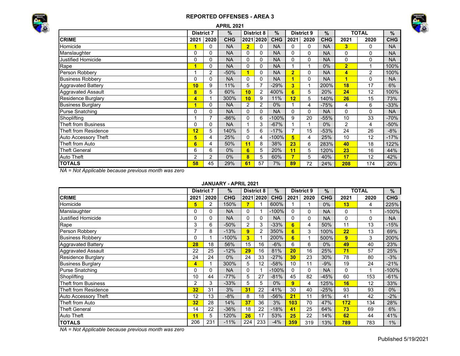



|                            |                |                   | <b>APRIL 2021</b> |                |                   |            |                |                   |            |                         |              |            |
|----------------------------|----------------|-------------------|-------------------|----------------|-------------------|------------|----------------|-------------------|------------|-------------------------|--------------|------------|
|                            |                | <b>District 7</b> | $\%$              |                | <b>District 8</b> | $\%$       |                | <b>District 9</b> | $\%$       |                         | <b>TOTAL</b> | $\%$       |
| <b>CRIME</b>               | 2021           | 2020              | <b>CHG</b>        |                | 2021 2020         | <b>CHG</b> | 2021           | 2020              | <b>CHG</b> | 2021                    | 2020         | <b>CHG</b> |
| Homicide                   | 1              | 0                 | <b>NA</b>         | $\overline{2}$ | 0                 | <b>NA</b>  | 0              | 0                 | <b>NA</b>  | 3                       | 0            | <b>NA</b>  |
| Manslaughter               | 0              | 0                 | <b>NA</b>         | 0              | 0                 | <b>NA</b>  | 0              | 0                 | <b>NA</b>  | 0                       | 0            | <b>NA</b>  |
| <b>Justified Homicide</b>  | 0              | 0                 | <b>NA</b>         | 0              | 0                 | <b>NA</b>  | 0              | 0                 | <b>NA</b>  | 0                       | 0            | <b>NA</b>  |
| Rape                       | 1              | 0                 | <b>NA</b>         | 0              | 0                 | <b>NA</b>  |                |                   | $0\%$      | $\overline{2}$          |              | 100%       |
| Person Robbery             |                | 2                 | $-50%$            |                | 0                 | <b>NA</b>  | $\overline{2}$ | 0                 | <b>NA</b>  | $\overline{\mathbf{4}}$ | 2            | 100%       |
| <b>Business Robbery</b>    | 0              | 0                 | <b>NA</b>         | 0              | 0                 | <b>NA</b>  | 1              | 0                 | <b>NA</b>  | 1                       | 0            | <b>NA</b>  |
| <b>Aggravated Battery</b>  | 10             | 9                 | 11%               | 5              | 7                 | $-29%$     | 3              |                   | 200%       | 18                      | 17           | 6%         |
| <b>Aggravated Assault</b>  | 8              | 5                 | 60%               | 10             | 2                 | 400%       | 6              | 5                 | 20%        | 24                      | 12           | 100%       |
| <b>Residence Burglary</b>  | 4              |                   | 300%              | 10             | 9                 | 11%        | 12             | 5                 | 140%       | 26                      | 15           | 73%        |
| <b>Business Burglary</b>   | 1              | 0                 | <b>NA</b>         | 2              | 2                 | $0\%$      |                | 4                 | $-75%$     | 4                       | 6            | -33%       |
| Purse Snatching            | 0              | $\Omega$          | <b>NA</b>         | $\mathbf{0}$   | $\Omega$          | <b>NA</b>  | $\Omega$       | 0                 | <b>NA</b>  | $\Omega$                | 0            | <b>NA</b>  |
| Shoplifting                |                |                   | $-86%$            | 0              | 6                 | $-100%$    | 9              | 20                | $-55%$     | 10                      | 33           | $-70%$     |
| <b>Theft from Business</b> | 0              | 0                 | <b>NA</b>         |                | 3                 | $-67%$     |                |                   | $0\%$      | $\overline{2}$          | 4            | $-50%$     |
| Theft from Residence       | 12             | 5                 | 140%              | 5              | 6                 | $-17%$     | $\overline{7}$ | 15                | $-53%$     | 24                      | 26           | $-8%$      |
| Auto Accessory Theft       | 5              | 4                 | 25%               | 0              | 4                 | $-100%$    | 5              | 4                 | 25%        | 10                      | 12           | $-17%$     |
| Theft from Auto            | 6              | 4                 | 50%               | 11             | 8                 | 38%        | 23             | 6                 | 283%       | 40                      | 18           | 122%       |
| <b>Theft General</b>       | 6              | 6                 | $0\%$             | 6              | 5                 | 20%        | 11             | 5                 | 120%       | 23                      | 16           | 44%        |
| Auto Theft                 | $\overline{2}$ | 2                 | $0\%$             | 8              | 5                 | 60%        | 7              | 5                 | 40%        | 17                      | 12           | 42%        |
| <b>TOTALS</b>              | 58             | 45                | 29%               | 61             | 57                | 7%         | 89             | 72                | 24%        | 208                     | 174          | 20%        |

*NA = Not Applicable because previous month was zero*

### **JANUARY - APRIL 2021**

|                           | <b>District 7</b> |      | $\%$       |          | <b>District 8</b> | $\%$       |      | <b>District 9</b> | $\%$       |      | <b>TOTAL</b> | %          |
|---------------------------|-------------------|------|------------|----------|-------------------|------------|------|-------------------|------------|------|--------------|------------|
| <b>CRIME</b>              | 2021              | 2020 | <b>CHG</b> |          | 2021 2020         | <b>CHG</b> | 2021 | 2020              | <b>CHG</b> | 2021 | 2020         | <b>CHG</b> |
| Homicide                  | 5                 | 2    | 150%       | 7        |                   | 600%       |      |                   | $0\%$      | 13   | 4            | 225%       |
| Manslaughter              | 0                 | 0    | <b>NA</b>  | $\Omega$ |                   | $-100%$    | 0    | 0                 | <b>NA</b>  | 0    |              | $-100%$    |
| <b>Justified Homicide</b> |                   | 0    | <b>NA</b>  | $\Omega$ | 0                 | <b>NA</b>  | 0    | $\Omega$          | <b>NA</b>  | 0    | 0            | <b>NA</b>  |
| Rape                      | 3                 | 6    | $-50%$     | 2        | 3                 | $-33%$     | 6    | 4                 | 50%        | 11   | 13           | $-15%$     |
| Person Robbery            |                   | 8    | $-13%$     | 9        | 2                 | 350%       | 6    | 3                 | 100%       | 22   | 13           | 69%        |
| <b>Business Robbery</b>   |                   |      | $-100%$    | 3        |                   | 200%       | 6    | 1                 | 500%       | 9    | 3            | 200%       |
| <b>Aggravated Battery</b> | 28                | 18   | 56%        | 15       | 16                | $-6%$      | 6    | 6                 | $0\%$      | 49   | 40           | 23%        |
| <b>Aggravated Assault</b> | 22                | 25   | $-12%$     | 29       | 16                | 81%        | 20   | 16                | 25%        | 71   | 57           | 25%        |
| <b>Residence Burglary</b> | 24                | 24   | $0\%$      | 24       | 33                | $-27%$     | 30   | 23                | 30%        | 78   | 80           | $-3%$      |
| <b>Business Burglary</b>  | 4                 |      | 300%       | 5        | 12                | $-58%$     | 10   | 11                | $-9%$      | 19   | 24           | $-21%$     |
| <b>Purse Snatching</b>    | 0                 | 0    | <b>NA</b>  | $\Omega$ |                   | $-100%$    | 0    | $\Omega$          | <b>NA</b>  | 0    |              | $-100%$    |
| Shoplifting               | 10                | 44   | $-77%$     | 5        | 27                | $-81%$     | 45   | 82                | $-45%$     | 60   | 153          | $-61%$     |
| Theft from Business       | 2                 | 3    | $-33%$     | 5        | 5                 | $0\%$      | 9    | 4                 | 125%       | 16   | 12           | 33%        |
| Theft from Residence      | 32                | 31   | 3%         | 31       | 22                | 41%        | 30   | 40                | $-25%$     | 93   | 93           | 0%         |
| Auto Accessory Theft      | 12                | 13   | $-8%$      | 8        | 18                | $-56%$     | 21   | 11                | 91%        | 41   | 42           | $-2%$      |
| Theft from Auto           | 32                | 28   | 14%        | 37       | 36                | 3%         | 103  | 70                | 47%        | 172  | 134          | 28%        |
| <b>Theft General</b>      | 14                | 22   | $-36%$     | 18       | 22                | $-18%$     | 41   | 25                | 64%        | 73   | 69           | 6%         |
| <b>Auto Theft</b>         | 11                | 5    | 120%       | 26       | 17                | 53%        | 25   | 22                | 14%        | 62   | 44           | 41%        |
| <b>TOTALS</b>             | 206               | 231  | $-11%$     | 224      | 233               | $-4%$      | 359  | 319               | 13%        | 789  | 783          | $1\%$      |